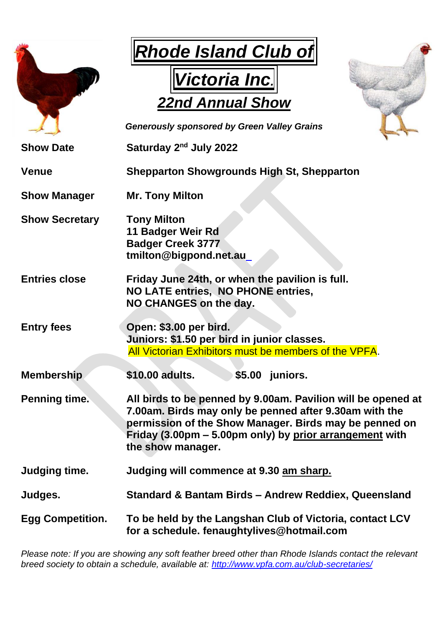|                         | <b>Rhode Island Club of</b><br><b>Victoria Inc.</b><br><b>22nd Annual Show</b><br><b>Generously sponsored by Green Valley Grains</b>                                                                                                                             |
|-------------------------|------------------------------------------------------------------------------------------------------------------------------------------------------------------------------------------------------------------------------------------------------------------|
| <b>Show Date</b>        | Saturday 2 <sup>nd</sup> July 2022                                                                                                                                                                                                                               |
| <b>Venue</b>            | <b>Shepparton Showgrounds High St, Shepparton</b>                                                                                                                                                                                                                |
| <b>Show Manager</b>     | <b>Mr. Tony Milton</b>                                                                                                                                                                                                                                           |
| <b>Show Secretary</b>   | <b>Tony Milton</b><br>11 Badger Weir Rd<br><b>Badger Creek 3777</b><br>tmilton@bigpond.net.au                                                                                                                                                                    |
| <b>Entries close</b>    | Friday June 24th, or when the pavilion is full.<br>NO LATE entries, NO PHONE entries,<br>NO CHANGES on the day.                                                                                                                                                  |
| <b>Entry fees</b>       | Open: \$3.00 per bird.<br>Juniors: \$1.50 per bird in junior classes.<br>All Victorian Exhibitors must be members of the VPFA.                                                                                                                                   |
| <b>Membership</b>       | \$10.00 adults.<br>\$5.00 juniors.                                                                                                                                                                                                                               |
| <b>Penning time.</b>    | All birds to be penned by 9.00am. Pavilion will be opened at<br>7.00am. Birds may only be penned after 9.30am with the<br>permission of the Show Manager. Birds may be penned on<br>Friday (3.00pm – 5.00pm only) by prior arrangement with<br>the show manager. |
| Judging time.           | Judging will commence at 9.30 am sharp.                                                                                                                                                                                                                          |
| Judges.                 | Standard & Bantam Birds - Andrew Reddiex, Queensland                                                                                                                                                                                                             |
| <b>Egg Competition.</b> | To be held by the Langshan Club of Victoria, contact LCV<br>for a schedule. fenaughtylives@hotmail.com                                                                                                                                                           |

*Please note: If you are showing any soft feather breed other than Rhode Islands contact the relevant breed society to obtain a schedule, available at:<http://www.vpfa.com.au/club-secretaries/>*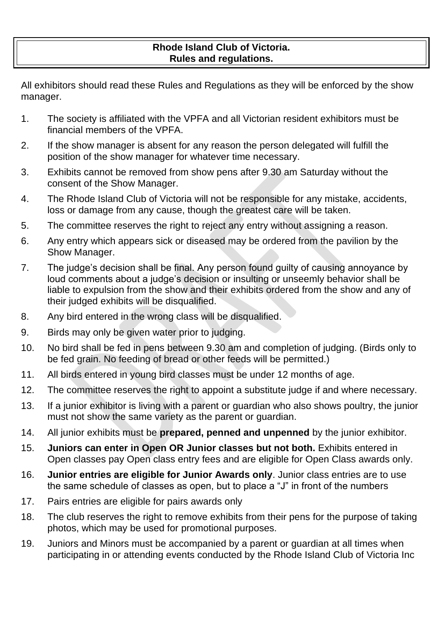### **Rhode Island Club of Victoria. Rules and regulations.**

All exhibitors should read these Rules and Regulations as they will be enforced by the show manager.

- 1. The society is affiliated with the VPFA and all Victorian resident exhibitors must be financial members of the VPFA.
- 2. If the show manager is absent for any reason the person delegated will fulfill the position of the show manager for whatever time necessary.
- 3. Exhibits cannot be removed from show pens after 9.30 am Saturday without the consent of the Show Manager.
- 4. The Rhode Island Club of Victoria will not be responsible for any mistake, accidents, loss or damage from any cause, though the greatest care will be taken.
- 5. The committee reserves the right to reject any entry without assigning a reason.
- 6. Any entry which appears sick or diseased may be ordered from the pavilion by the Show Manager.
- 7. The judge's decision shall be final. Any person found guilty of causing annoyance by loud comments about a judge's decision or insulting or unseemly behavior shall be liable to expulsion from the show and their exhibits ordered from the show and any of their judged exhibits will be disqualified.
- 8. Any bird entered in the wrong class will be disqualified.
- 9. Birds may only be given water prior to judging.
- 10. No bird shall be fed in pens between 9.30 am and completion of judging. (Birds only to be fed grain. No feeding of bread or other feeds will be permitted.)
- 11. All birds entered in young bird classes must be under 12 months of age.
- 12. The committee reserves the right to appoint a substitute judge if and where necessary.
- 13. If a junior exhibitor is living with a parent or guardian who also shows poultry, the junior must not show the same variety as the parent or guardian.
- 14. All junior exhibits must be **prepared, penned and unpenned** by the junior exhibitor.
- 15. **Juniors can enter in Open OR Junior classes but not both.** Exhibits entered in Open classes pay Open class entry fees and are eligible for Open Class awards only.
- 16. **Junior entries are eligible for Junior Awards only**. Junior class entries are to use the same schedule of classes as open, but to place a "J" in front of the numbers
- 17. Pairs entries are eligible for pairs awards only
- 18. The club reserves the right to remove exhibits from their pens for the purpose of taking photos, which may be used for promotional purposes.
- 19. Juniors and Minors must be accompanied by a parent or guardian at all times when participating in or attending events conducted by the Rhode Island Club of Victoria Inc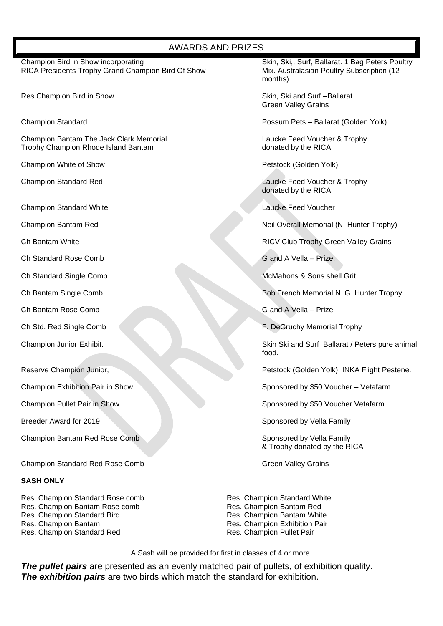#### AWARDS AND PRIZES

Champion Bird in Show incorporating Schampion Bird of Show Skin, Ski, Surf, Ballarat. 1 Bag Peters Poultry<br>RICA Presidents Trophy Grand Champion Bird Of Show Mix. Australasian Poultry Subscription (12 RICA Presidents Trophy Grand Champion Bird Of Show

Res Champion Bird in Show Skin, Ski and Surf – Ballarat

Champion Bantam The Jack Clark Memorial **Laucke Feed Voucher & Trophy**<br>
Trophy Champion Rhode Island Bantam<br>
Conated by the RICA Trophy Champion Rhode Island Bantam

Champion White of Show **Petstock (Golden Yolk)** Petstock (Golden Yolk)

Champion Standard White **Laucke Feed Voucher** 

**Champion Bantam Red** 

Ch Standard Rose Comb G and A Vella – Prize.

Ch Bantam Rose Comb G and A Vella – Prize

Champion Bantam Red Rose Comb Sponsored by Vella Family

Champion Standard Red Rose Comb Green Valley Grains

#### **SASH ONLY**

Res. Champion Standard Rose comb Res. Champion Bantam Rose comb Res. Champion Standard Bird Res. Champion Bantam Res. Champion Standard Red

months) and the contract of the contract of the months)

Green Valley Grains

Champion Standard Possum Pets – Ballarat (Golden Yolk)

Champion Standard Red Laucke Feed Voucher & Trophy donated by the RICA

Neil Overall Memorial (N. Hunter Trophy)

Ch Bantam White **China Transformation China Transformation** RICV Club Trophy Green Valley Grains

Ch Standard Single Comb **McMahons & Sons shell Grit.** McMahons & Sons shell Grit.

Ch Bantam Single Comb Bob French Memorial N. G. Hunter Trophy

Ch Std. Red Single Comb F. DeGruchy Memorial Trophy

Champion Junior Exhibit. Skin Skin Skin Skin Skin Skin Surf Ballarat / Peters pure animal food.

Reserve Champion Junior, **Petstock (Golden Yolk), INKA Flight Pestene.** 

Champion Exhibition Pair in Show. Sponsored by \$50 Voucher – Vetafarm

Champion Pullet Pair in Show. Sponsored by \$50 Voucher Vetafarm

Breeder Award for 2019 Sponsored by Vella Family

& Trophy donated by the RICA

Res. Champion Standard White Res. Champion Bantam Red Res. Champion Bantam White Res. Champion Exhibition Pair Res. Champion Pullet Pair

A Sash will be provided for first in classes of 4 or more.

*The pullet pairs* are presented as an evenly matched pair of pullets, of exhibition quality. *The exhibition pairs* are two birds which match the standard for exhibition.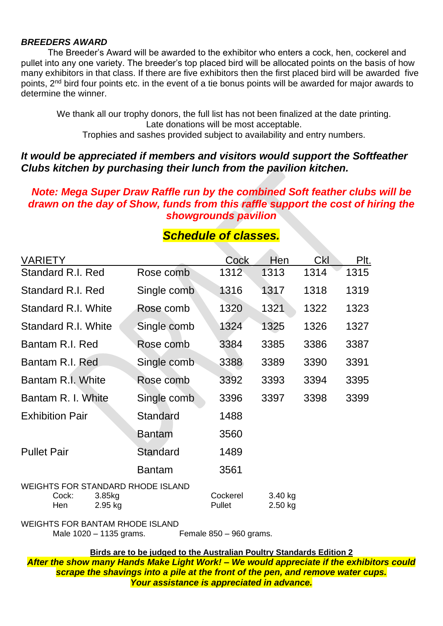### *BREEDERS AWARD*

The Breeder's Award will be awarded to the exhibitor who enters a cock, hen, cockerel and pullet into any one variety. The breeder's top placed bird will be allocated points on the basis of how many exhibitors in that class. If there are five exhibitors then the first placed bird will be awarded five points, 2nd bird four points etc. in the event of a tie bonus points will be awarded for major awards to determine the winner.

We thank all our trophy donors, the full list has not been finalized at the date printing. Late donations will be most acceptable. Trophies and sashes provided subject to availability and entry numbers.

## *It would be appreciated if members and visitors would support the Softfeather Clubs kitchen by purchasing their lunch from the pavilion kitchen.*

## *Note: Mega Super Draw Raffle run by the combined Soft feather clubs will be drawn on the day of Show, funds from this raffle support the cost of hiring the showgrounds pavilion*

| <b>VARIETY</b>                                           |                   |                 | Cock               | Hen                | <b>Ckl</b> | Plt. |
|----------------------------------------------------------|-------------------|-----------------|--------------------|--------------------|------------|------|
| <b>Standard R.I. Red</b>                                 |                   | Rose comb       | 1312               | 1313               | 1314       | 1315 |
| Standard R.I. Red                                        |                   | Single comb     | 1316               | 1317               | 1318       | 1319 |
| <b>Standard R.I. White</b>                               |                   | Rose comb       | 1320               | 1321               | 1322       | 1323 |
| Standard R.I. White                                      |                   | Single comb     | 1324               | 1325               | 1326       | 1327 |
| Bantam R.I. Red                                          |                   | Rose comb       | 3384               | 3385               | 3386       | 3387 |
| Bantam R.I. Red                                          |                   | Single comb     | 3388               | 3389               | 3390       | 3391 |
| Bantam R.I. White                                        |                   | Rose comb       | 3392               | 3393               | 3394       | 3395 |
| Bantam R. I. White                                       |                   | Single comb     | 3396               | 3397               | 3398       | 3399 |
| <b>Exhibition Pair</b>                                   |                   | <b>Standard</b> | 1488               |                    |            |      |
|                                                          |                   | <b>Bantam</b>   | 3560               |                    |            |      |
| <b>Pullet Pair</b>                                       |                   | Standard        | 1489               |                    |            |      |
|                                                          |                   | <b>Bantam</b>   | 3561               |                    |            |      |
| <b>WEIGHTS FOR STANDARD RHODE ISLAND</b><br>Cock:<br>Hen | 3.85kg<br>2.95 kg |                 | Cockerel<br>Pullet | 3.40 kg<br>2.50 kg |            |      |

## *Schedule of classes.*

WEIGHTS FOR BANTAM RHODE ISLAND

Male 1020 – 1135 grams. Female 850 – 960 grams.

**Birds are to be judged to the Australian Poultry Standards Edition 2**

*After the show many Hands Make Light Work! – We would appreciate if the exhibitors could scrape the shavings into a pile at the front of the pen, and remove water cups. Your assistance is appreciated in advance.*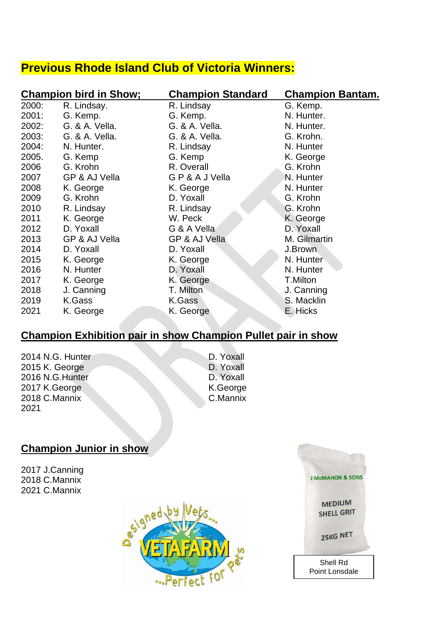# **Previous Rhode Island Club of Victoria Winners:**

|       | <b>Champion bird in Show;</b> | <b>Champion Standard</b> | <b>Champion Bantam.</b> |
|-------|-------------------------------|--------------------------|-------------------------|
| 2000: | R. Lindsay.                   | R. Lindsay               | G. Kemp.                |
| 2001: | G. Kemp.                      | G. Kemp.                 | N. Hunter.              |
| 2002: | G. & A. Vella.                | G. & A. Vella.           | N. Hunter.              |
| 2003: | G. & A. Vella.                | G. & A. Vella.           | G. Krohn.               |
| 2004: | N. Hunter.                    | R. Lindsay               | N. Hunter               |
| 2005. | G. Kemp                       | G. Kemp                  | K. George               |
| 2006  | G. Krohn                      | R. Overall               | G. Krohn                |
| 2007  | GP & AJ Vella                 | GP&AJVella               | N. Hunter               |
| 2008  | K. George                     | K. George                | N. Hunter               |
| 2009  | G. Krohn                      | D. Yoxall                | G. Krohn                |
| 2010  | R. Lindsay                    | R. Lindsay               | G. Krohn                |
| 2011  | K. George                     | W. Peck                  | K. George               |
| 2012  | D. Yoxall                     | G & A Vella              | D. Yoxall               |
| 2013  | GP & AJ Vella                 | GP & AJ Vella            | M. Gilmartin            |
| 2014  | D. Yoxall                     | D. Yoxall                | J.Brown                 |
| 2015  | K. George                     | K. George                | N. Hunter               |
| 2016  | N. Hunter                     | D. Yoxall                | N. Hunter               |
| 2017  | K. George                     | K. George                | T.Milton                |
| 2018  | J. Canning                    | T. Milton                | J. Canning              |
| 2019  | K.Gass                        | K.Gass                   | S. Macklin              |
| 2021  | K. George                     | K. George                | E. Hicks                |

## **Champion Exhibition pair in show Champion Pullet pair in show**

- 2014 N.G. Hunter D. Yoxall<br>2015 K. George D. Yoxall  $2015$  K. George 2016 N.G.Hunter D. Yoxall<br>2017 K.George K.George K.George 2017 K.George K.George K.George K.George K.George  $2018$  C.Mannix 2021
- 

## **Champion Junior in show**

2017 J.Canning 2018 C.Mannix 2021 C.Mannix



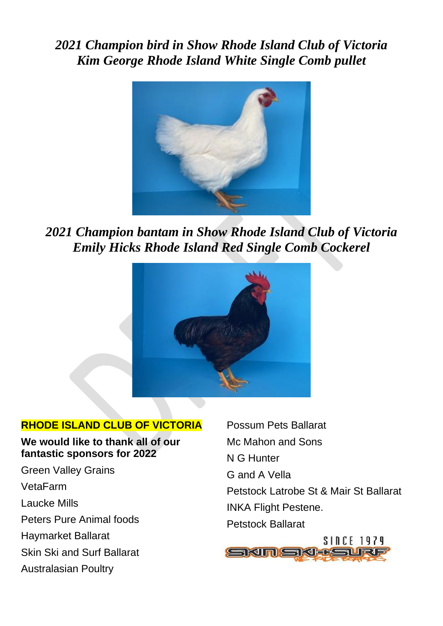*2021 Champion bird in Show Rhode Island Club of Victoria Kim George Rhode Island White Single Comb pullet*



*2021 Champion bantam in Show Rhode Island Club of Victoria Emily Hicks Rhode Island Red Single Comb Cockerel*



## **RHODE ISLAND CLUB OF VICTORIA**

**We would like to thank all of our fantastic sponsors for 2022**

Green Valley Grains VetaFarm Laucke Mills Peters Pure Animal foods Haymarket Ballarat Skin Ski and Surf Ballarat Australasian Poultry

Possum Pets Ballarat Mc Mahon and Sons N G Hunter G and A Vella Petstock Latrobe St & Mair St Ballarat INKA Flight Pestene. Petstock Ballarat

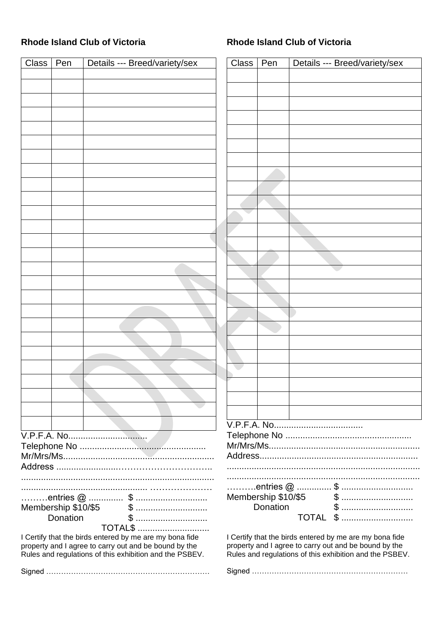### **Rhode Island Club of Victoria**

### **Rhode Island Club of Victoria**

| <b>Class</b> | Pen      | Details --- Breed/variety/sex                                                                                                                                               | Class | Pen | Details --- Breed/variety/sex                                                                                                                                               |
|--------------|----------|-----------------------------------------------------------------------------------------------------------------------------------------------------------------------------|-------|-----|-----------------------------------------------------------------------------------------------------------------------------------------------------------------------------|
|              |          |                                                                                                                                                                             |       |     |                                                                                                                                                                             |
|              |          |                                                                                                                                                                             |       |     |                                                                                                                                                                             |
|              |          |                                                                                                                                                                             |       |     |                                                                                                                                                                             |
|              |          |                                                                                                                                                                             |       |     |                                                                                                                                                                             |
|              |          |                                                                                                                                                                             |       |     |                                                                                                                                                                             |
|              |          |                                                                                                                                                                             |       |     |                                                                                                                                                                             |
|              |          |                                                                                                                                                                             |       |     |                                                                                                                                                                             |
|              |          |                                                                                                                                                                             |       |     |                                                                                                                                                                             |
|              |          |                                                                                                                                                                             |       |     |                                                                                                                                                                             |
|              |          |                                                                                                                                                                             |       |     |                                                                                                                                                                             |
|              |          |                                                                                                                                                                             |       |     |                                                                                                                                                                             |
|              |          |                                                                                                                                                                             |       |     |                                                                                                                                                                             |
|              |          |                                                                                                                                                                             |       |     |                                                                                                                                                                             |
|              |          |                                                                                                                                                                             |       |     |                                                                                                                                                                             |
|              |          |                                                                                                                                                                             |       |     |                                                                                                                                                                             |
|              |          |                                                                                                                                                                             |       |     |                                                                                                                                                                             |
|              |          |                                                                                                                                                                             |       |     |                                                                                                                                                                             |
|              |          |                                                                                                                                                                             |       |     |                                                                                                                                                                             |
|              |          |                                                                                                                                                                             |       |     |                                                                                                                                                                             |
|              |          |                                                                                                                                                                             |       |     |                                                                                                                                                                             |
|              |          |                                                                                                                                                                             |       |     |                                                                                                                                                                             |
|              |          |                                                                                                                                                                             |       |     |                                                                                                                                                                             |
|              |          |                                                                                                                                                                             |       |     |                                                                                                                                                                             |
|              |          |                                                                                                                                                                             |       |     |                                                                                                                                                                             |
|              |          |                                                                                                                                                                             |       |     |                                                                                                                                                                             |
|              |          |                                                                                                                                                                             |       |     |                                                                                                                                                                             |
|              |          |                                                                                                                                                                             |       |     |                                                                                                                                                                             |
|              |          |                                                                                                                                                                             |       |     |                                                                                                                                                                             |
|              |          |                                                                                                                                                                             |       |     |                                                                                                                                                                             |
|              |          |                                                                                                                                                                             |       |     |                                                                                                                                                                             |
|              |          |                                                                                                                                                                             |       |     |                                                                                                                                                                             |
|              |          | $\ldots$ entries $\omega$ $\ldots$ $\omega$                                                                                                                                 |       |     |                                                                                                                                                                             |
|              | Donation |                                                                                                                                                                             |       |     | <b>TOTAL \$ </b>                                                                                                                                                            |
|              |          | <b>TOTAL\$ </b>                                                                                                                                                             |       |     |                                                                                                                                                                             |
|              |          | I Certify that the birds entered by me are my bona fide<br>property and I agree to carry out and be bound by the<br>Rules and regulations of this exhibition and the PSBEV. |       |     | I Certify that the birds entered by me are my bona fide<br>property and I agree to carry out and be bound by the<br>Rules and regulations of this exhibition and the PSBEV. |
|              |          |                                                                                                                                                                             |       |     |                                                                                                                                                                             |